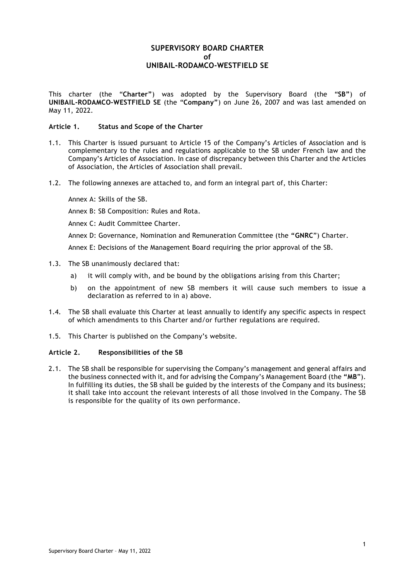# **SUPERVISORY BOARD CHARTER of UNIBAIL-RODAMCO-WESTFIELD SE**

This charter (the "**Charter"**) was adopted by the Supervisory Board (the "**SB"**) of **UNIBAIL-RODAMCO-WESTFIELD SE** (the "**Company"**) on June 26, 2007 and was last amended on May 11, 2022.

## **Article 1. Status and Scope of the Charter**

- 1.1. This Charter is issued pursuant to Article 15 of the Company's Articles of Association and is complementary to the rules and regulations applicable to the SB under French law and the Company's Articles of Association. In case of discrepancy between this Charter and the Articles of Association, the Articles of Association shall prevail.
- 1.2. The following annexes are attached to, and form an integral part of, this Charter:

Annex A: Skills of the SB.

Annex B: SB Composition: Rules and Rota.

Annex C: Audit Committee Charter.

Annex D: Governance, Nomination and Remuneration Committee (the **"GNRC**") Charter.

Annex E: Decisions of the Management Board requiring the prior approval of the SB.

- 1.3. The SB unanimously declared that:
	- a) it will comply with, and be bound by the obligations arising from this Charter;
	- b) on the appointment of new SB members it will cause such members to issue a declaration as referred to in a) above.
- 1.4. The SB shall evaluate this Charter at least annually to identify any specific aspects in respect of which amendments to this Charter and/or further regulations are required.
- 1.5. This Charter is published on the Company's website.

# **Article 2. Responsibilities of the SB**

2.1. The SB shall be responsible for supervising the Company's management and general affairs and the business connected with it, and for advising the Company's Management Board (the **"MB**"). In fulfilling its duties, the SB shall be guided by the interests of the Company and its business; it shall take into account the relevant interests of all those involved in the Company. The SB is responsible for the quality of its own performance.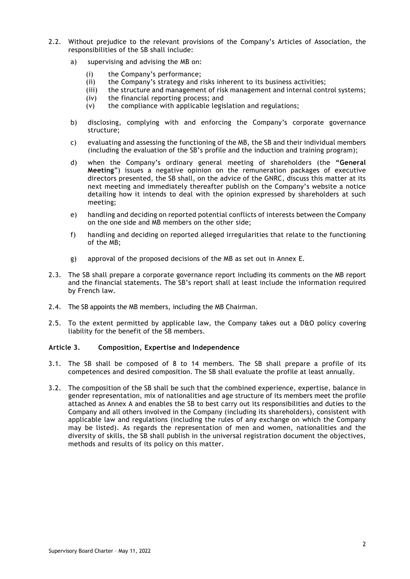- 2.2. Without prejudice to the relevant provisions of the Company's Articles of Association, the responsibilities of the SB shall include:
	- a) supervising and advising the MB on:
		- (i) the Company's performance;
		- (ii) the Company's strategy and risks inherent to its business activities;
		- (iii) the structure and management of risk management and internal control systems;
		- (iv) the financial reporting process; and
		- (v) the compliance with applicable legislation and regulations;
	- b) disclosing, complying with and enforcing the Company's corporate governance structure;
	- c) evaluating and assessing the functioning of the MB, the SB and their individual members (including the evaluation of the SB's profile and the induction and training program);
	- d) when the Company's ordinary general meeting of shareholders (the **"General Meeting**") issues a negative opinion on the remuneration packages of executive directors presented, the SB shall, on the advice of the GNRC, discuss this matter at its next meeting and immediately thereafter publish on the Company's website a notice detailing how it intends to deal with the opinion expressed by shareholders at such meeting;
	- e) handling and deciding on reported potential conflicts of interests between the Company on the one side and MB members on the other side;
	- f) handling and deciding on reported alleged irregularities that relate to the functioning of the MB;
	- g) approval of the proposed decisions of the MB as set out in Annex E.
- 2.3. The SB shall prepare a corporate governance report including its comments on the MB report and the financial statements. The SB's report shall at least include the information required by French law.
- 2.4. The SB appoints the MB members, including the MB Chairman.
- 2.5. To the extent permitted by applicable law, the Company takes out a D&O policy covering liability for the benefit of the SB members.

#### **Article 3. Composition, Expertise and Independence**

- 3.1. The SB shall be composed of 8 to 14 members. The SB shall prepare a profile of its competences and desired composition. The SB shall evaluate the profile at least annually.
- 3.2. The composition of the SB shall be such that the combined experience, expertise, balance in gender representation, mix of nationalities and age structure of its members meet the profile attached as Annex A and enables the SB to best carry out its responsibilities and duties to the Company and all others involved in the Company (including its shareholders), consistent with applicable law and regulations (including the rules of any exchange on which the Company may be listed). As regards the representation of men and women, nationalities and the diversity of skills, the SB shall publish in the universal registration document the objectives, methods and results of its policy on this matter.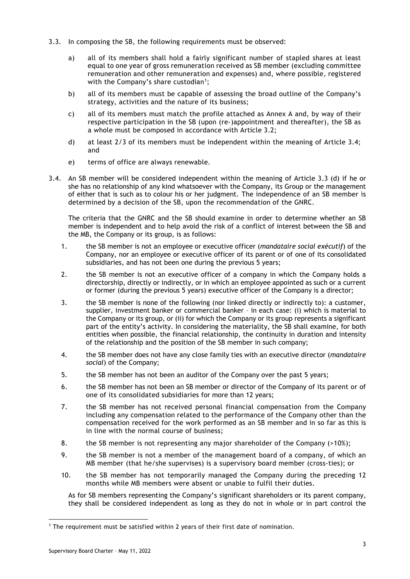- 3.3. In composing the SB, the following requirements must be observed:
	- a) all of its members shall hold a fairly significant number of stapled shares at least equal to one year of gross remuneration received as SB member (excluding committee remuneration and other remuneration and expenses) and, where possible, registered with the Company's share custodian<sup>[1](#page-2-0)</sup>;
	- b) all of its members must be capable of assessing the broad outline of the Company's strategy, activities and the nature of its business;
	- c) all of its members must match the profile attached as Annex A and, by way of their respective participation in the SB (upon (re-)appointment and thereafter), the SB as a whole must be composed in accordance with Article 3.2;
	- d) at least 2/3 of its members must be independent within the meaning of Article 3.4; and
	- e) terms of office are always renewable.
- 3.4. An SB member will be considered independent within the meaning of Article 3.3 (d) if he or she has no relationship of any kind whatsoever with the Company, its Group or the management of either that is such as to colour his or her judgment. The independence of an SB member is determined by a decision of the SB, upon the recommendation of the GNRC.

The criteria that the GNRC and the SB should examine in order to determine whether an SB member is independent and to help avoid the risk of a conflict of interest between the SB and the MB, the Company or its group, is as follows:

- 1. the SB member is not an employee or executive officer (*mandataire social exécutif*) of the Company, nor an employee or executive officer of its parent or of one of its consolidated subsidiaries, and has not been one during the previous 5 years;
- 2. the SB member is not an executive officer of a company in which the Company holds a directorship, directly or indirectly, or in which an employee appointed as such or a current or former (during the previous 5 years) executive officer of the Company is a director;
- 3. the SB member is none of the following (nor linked directly or indirectly to): a customer, supplier, investment banker or commercial banker – in each case: (i) which is material to the Company or its group, or (ii) for which the Company or its group represents a significant part of the entity's activity. In considering the materiality, the SB shall examine, for both entities when possible, the financial relationship, the continuity in duration and intensity of the relationship and the position of the SB member in such company;
- 4. the SB member does not have any close family ties with an executive director (*mandataire social*) of the Company;
- 5. the SB member has not been an auditor of the Company over the past 5 years;
- 6. the SB member has not been an SB member or director of the Company of its parent or of one of its consolidated subsidiaries for more than 12 years;
- 7. the SB member has not received personal financial compensation from the Company including any compensation related to the performance of the Company other than the compensation received for the work performed as an SB member and in so far as this is in line with the normal course of business;
- 8. the SB member is not representing any major shareholder of the Company (>10%);
- 9. the SB member is not a member of the management board of a company, of which an MB member (that he/she supervises) is a supervisory board member (cross-ties); or
- 10. the SB member has not temporarily managed the Company during the preceding 12 months while MB members were absent or unable to fulfil their duties.

As for SB members representing the Company's significant shareholders or its parent company, they shall be considered independent as long as they do not in whole or in part control the

<span id="page-2-0"></span><sup>1</sup> The requirement must be satisfied within 2 years of their first date of nomination.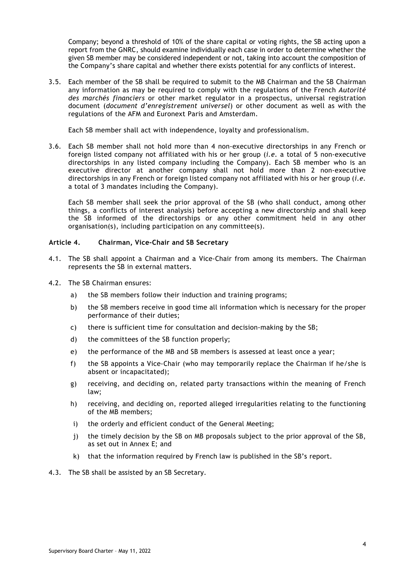Company; beyond a threshold of 10% of the share capital or voting rights, the SB acting upon a report from the GNRC, should examine individually each case in order to determine whether the given SB member may be considered independent or not, taking into account the composition of the Company's share capital and whether there exists potential for any conflicts of interest.

3.5. Each member of the SB shall be required to submit to the MB Chairman and the SB Chairman any information as may be required to comply with the regulations of the French *Autorité des marchés financiers* or other market regulator in a prospectus, universal registration document (*document d'enregistrement universel*) or other document as well as with the regulations of the AFM and Euronext Paris and Amsterdam.

Each SB member shall act with independence, loyalty and professionalism.

3.6. Each SB member shall not hold more than 4 non-executive directorships in any French or foreign listed company not affiliated with his or her group (*i.e.* a total of 5 non-executive directorships in any listed company including the Company). Each SB member who is an executive director at another company shall not hold more than 2 non-executive directorships in any French or foreign listed company not affiliated with his or her group (*i.e.* a total of 3 mandates including the Company).

Each SB member shall seek the prior approval of the SB (who shall conduct, among other things, a conflicts of interest analysis) before accepting a new directorship and shall keep the SB informed of the directorships or any other commitment held in any other organisation(s), including participation on any committee(s).

## **Article 4. Chairman, Vice-Chair and SB Secretary**

- 4.1. The SB shall appoint a Chairman and a Vice-Chair from among its members. The Chairman represents the SB in external matters.
- 4.2. The SB Chairman ensures:
	- a) the SB members follow their induction and training programs;
	- b) the SB members receive in good time all information which is necessary for the proper performance of their duties;
	- c) there is sufficient time for consultation and decision-making by the SB;
	- d) the committees of the SB function properly;
	- e) the performance of the MB and SB members is assessed at least once a year;
	- f) the SB appoints a Vice-Chair (who may temporarily replace the Chairman if he/she is absent or incapacitated);
	- g) receiving, and deciding on, related party transactions within the meaning of French law;
	- h) receiving, and deciding on, reported alleged irregularities relating to the functioning of the MB members;
	- i) the orderly and efficient conduct of the General Meeting;
	- j) the timely decision by the SB on MB proposals subject to the prior approval of the SB, as set out in Annex E; and
	- k) that the information required by French law is published in the SB's report.
- 4.3. The SB shall be assisted by an SB Secretary.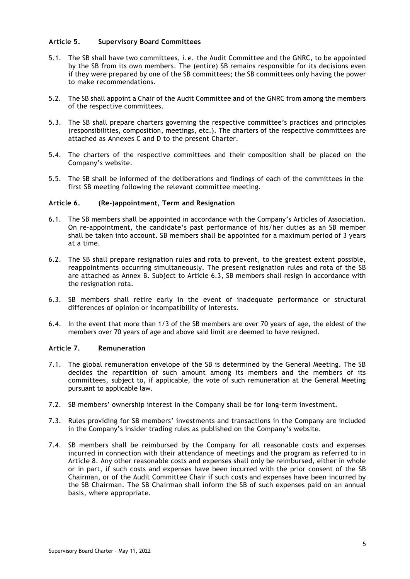# **Article 5. Supervisory Board Committees**

- 5.1. The SB shall have two committees, *i.e.* the Audit Committee and the GNRC, to be appointed by the SB from its own members. The (entire) SB remains responsible for its decisions even if they were prepared by one of the SB committees; the SB committees only having the power to make recommendations.
- 5.2. The SB shall appoint a Chair of the Audit Committee and of the GNRC from among the members of the respective committees.
- 5.3. The SB shall prepare charters governing the respective committee's practices and principles (responsibilities, composition, meetings, etc.). The charters of the respective committees are attached as Annexes C and D to the present Charter.
- 5.4. The charters of the respective committees and their composition shall be placed on the Company's website.
- 5.5. The SB shall be informed of the deliberations and findings of each of the committees in the first SB meeting following the relevant committee meeting.

## **Article 6. (Re-)appointment, Term and Resignation**

- 6.1. The SB members shall be appointed in accordance with the Company's Articles of Association. On re-appointment, the candidate's past performance of his/her duties as an SB member shall be taken into account. SB members shall be appointed for a maximum period of 3 years at a time.
- 6.2. The SB shall prepare resignation rules and rota to prevent, to the greatest extent possible, reappointments occurring simultaneously. The present resignation rules and rota of the SB are attached as Annex B. Subject to Article 6.3, SB members shall resign in accordance with the resignation rota.
- 6.3. SB members shall retire early in the event of inadequate performance or structural differences of opinion or incompatibility of interests.
- 6.4. In the event that more than 1/3 of the SB members are over 70 years of age, the eldest of the members over 70 years of age and above said limit are deemed to have resigned.

#### **Article 7. Remuneration**

- 7.1. The global remuneration envelope of the SB is determined by the General Meeting. The SB decides the repartition of such amount among its members and the members of its committees, subject to, if applicable, the vote of such remuneration at the General Meeting pursuant to applicable law.
- 7.2. SB members' ownership interest in the Company shall be for long-term investment.
- 7.3. Rules providing for SB members' investments and transactions in the Company are included in the Company's insider trading rules as published on the Company's website.
- 7.4. SB members shall be reimbursed by the Company for all reasonable costs and expenses incurred in connection with their attendance of meetings and the program as referred to in Article 8. Any other reasonable costs and expenses shall only be reimbursed, either in whole or in part, if such costs and expenses have been incurred with the prior consent of the SB Chairman, or of the Audit Committee Chair if such costs and expenses have been incurred by the SB Chairman. The SB Chairman shall inform the SB of such expenses paid on an annual basis, where appropriate.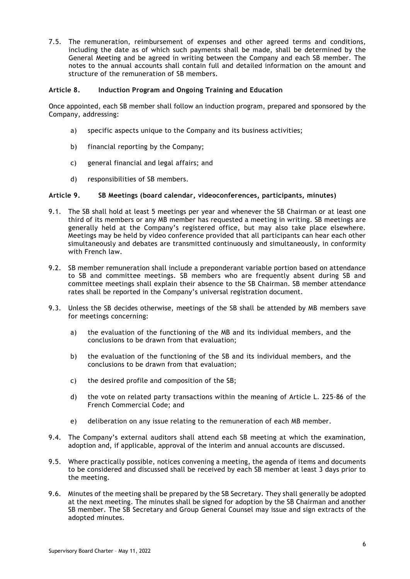7.5. The remuneration, reimbursement of expenses and other agreed terms and conditions, including the date as of which such payments shall be made, shall be determined by the General Meeting and be agreed in writing between the Company and each SB member. The notes to the annual accounts shall contain full and detailed information on the amount and structure of the remuneration of SB members.

## **Article 8. Induction Program and Ongoing Training and Education**

Once appointed, each SB member shall follow an induction program, prepared and sponsored by the Company, addressing:

- a) specific aspects unique to the Company and its business activities;
- b) financial reporting by the Company;
- c) general financial and legal affairs; and
- d) responsibilities of SB members.

## **Article 9. SB Meetings (board calendar, videoconferences, participants, minutes)**

- 9.1. The SB shall hold at least 5 meetings per year and whenever the SB Chairman or at least one third of its members or any MB member has requested a meeting in writing. SB meetings are generally held at the Company's registered office, but may also take place elsewhere. Meetings may be held by video conference provided that all participants can hear each other simultaneously and debates are transmitted continuously and simultaneously, in conformity with French law.
- 9.2. SB member remuneration shall include a preponderant variable portion based on attendance to SB and committee meetings. SB members who are frequently absent during SB and committee meetings shall explain their absence to the SB Chairman. SB member attendance rates shall be reported in the Company's universal registration document.
- 9.3. Unless the SB decides otherwise, meetings of the SB shall be attended by MB members save for meetings concerning:
	- a) the evaluation of the functioning of the MB and its individual members, and the conclusions to be drawn from that evaluation;
	- b) the evaluation of the functioning of the SB and its individual members, and the conclusions to be drawn from that evaluation;
	- c) the desired profile and composition of the SB;
	- d) the vote on related party transactions within the meaning of Article L. 225-86 of the French Commercial Code; and
	- e) deliberation on any issue relating to the remuneration of each MB member.
- 9.4. The Company's external auditors shall attend each SB meeting at which the examination, adoption and, if applicable, approval of the interim and annual accounts are discussed.
- 9.5. Where practically possible, notices convening a meeting, the agenda of items and documents to be considered and discussed shall be received by each SB member at least 3 days prior to the meeting.
- 9.6. Minutes of the meeting shall be prepared by the SB Secretary. They shall generally be adopted at the next meeting. The minutes shall be signed for adoption by the SB Chairman and another SB member. The SB Secretary and Group General Counsel may issue and sign extracts of the adopted minutes.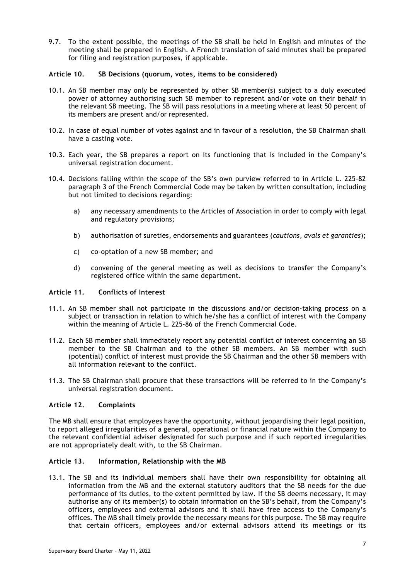9.7. To the extent possible, the meetings of the SB shall be held in English and minutes of the meeting shall be prepared in English. A French translation of said minutes shall be prepared for filing and registration purposes, if applicable.

## **Article 10. SB Decisions (quorum, votes, items to be considered)**

- 10.1. An SB member may only be represented by other SB member(s) subject to a duly executed power of attorney authorising such SB member to represent and/or vote on their behalf in the relevant SB meeting. The SB will pass resolutions in a meeting where at least 50 percent of its members are present and/or represented.
- 10.2. In case of equal number of votes against and in favour of a resolution, the SB Chairman shall have a casting vote.
- 10.3. Each year, the SB prepares a report on its functioning that is included in the Company's universal registration document.
- 10.4. Decisions falling within the scope of the SB's own purview referred to in Article L. 225-82 paragraph 3 of the French Commercial Code may be taken by written consultation, including but not limited to decisions regarding:
	- a) any necessary amendments to the Articles of Association in order to comply with legal and regulatory provisions;
	- b) authorisation of sureties, endorsements and guarantees (*cautions, avals et garanties*);
	- c) co-optation of a new SB member; and
	- d) convening of the general meeting as well as decisions to transfer the Company's registered office within the same department.

## **Article 11. Conflicts of Interest**

- 11.1. An SB member shall not participate in the discussions and/or decision-taking process on a subject or transaction in relation to which he/she has a conflict of interest with the Company within the meaning of Article L. 225-86 of the French Commercial Code.
- 11.2. Each SB member shall immediately report any potential conflict of interest concerning an SB member to the SB Chairman and to the other SB members. An SB member with such (potential) conflict of interest must provide the SB Chairman and the other SB members with all information relevant to the conflict.
- 11.3. The SB Chairman shall procure that these transactions will be referred to in the Company's universal registration document.

## **Article 12. Complaints**

The MB shall ensure that employees have the opportunity, without jeopardising their legal position, to report alleged irregularities of a general, operational or financial nature within the Company to the relevant confidential adviser designated for such purpose and if such reported irregularities are not appropriately dealt with, to the SB Chairman.

#### **Article 13. Information, Relationship with the MB**

13.1. The SB and its individual members shall have their own responsibility for obtaining all information from the MB and the external statutory auditors that the SB needs for the due performance of its duties, to the extent permitted by law. If the SB deems necessary, it may authorise any of its member(s) to obtain information on the SB's behalf, from the Company's officers, employees and external advisors and it shall have free access to the Company's offices. The MB shall timely provide the necessary means for this purpose. The SB may require that certain officers, employees and/or external advisors attend its meetings or its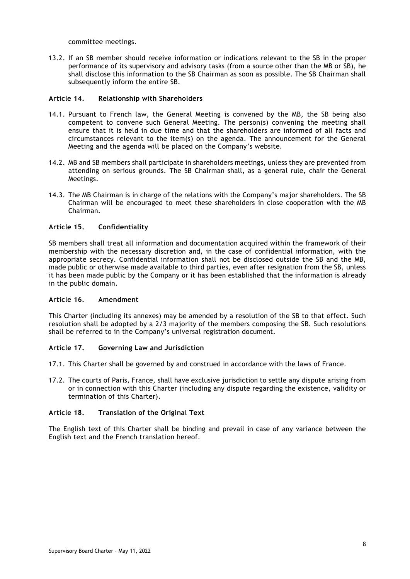committee meetings.

13.2. If an SB member should receive information or indications relevant to the SB in the proper performance of its supervisory and advisory tasks (from a source other than the MB or SB), he shall disclose this information to the SB Chairman as soon as possible. The SB Chairman shall subsequently inform the entire SB.

## **Article 14. Relationship with Shareholders**

- 14.1. Pursuant to French law, the General Meeting is convened by the MB, the SB being also competent to convene such General Meeting. The person(s) convening the meeting shall ensure that it is held in due time and that the shareholders are informed of all facts and circumstances relevant to the item(s) on the agenda. The announcement for the General Meeting and the agenda will be placed on the Company's website.
- 14.2. MB and SB members shall participate in shareholders meetings, unless they are prevented from attending on serious grounds. The SB Chairman shall, as a general rule, chair the General Meetings.
- 14.3. The MB Chairman is in charge of the relations with the Company's major shareholders. The SB Chairman will be encouraged to meet these shareholders in close cooperation with the MB Chairman.

## **Article 15. Confidentiality**

SB members shall treat all information and documentation acquired within the framework of their membership with the necessary discretion and, in the case of confidential information, with the appropriate secrecy. Confidential information shall not be disclosed outside the SB and the MB, made public or otherwise made available to third parties, even after resignation from the SB, unless it has been made public by the Company or it has been established that the information is already in the public domain.

#### **Article 16. Amendment**

This Charter (including its annexes) may be amended by a resolution of the SB to that effect. Such resolution shall be adopted by a 2/3 majority of the members composing the SB. Such resolutions shall be referred to in the Company's universal registration document.

# **Article 17. Governing Law and Jurisdiction**

- 17.1. This Charter shall be governed by and construed in accordance with the laws of France.
- 17.2. The courts of Paris, France, shall have exclusive jurisdiction to settle any dispute arising from or in connection with this Charter (including any dispute regarding the existence, validity or termination of this Charter).

# **Article 18. Translation of the Original Text**

The English text of this Charter shall be binding and prevail in case of any variance between the English text and the French translation hereof.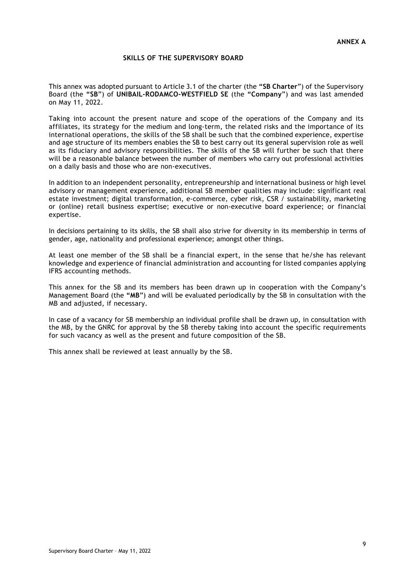## **SKILLS OF THE SUPERVISORY BOARD**

This annex was adopted pursuant to Article 3.1 of the charter (the **"SB Charter**") of the Supervisory Board (the **"SB**") of **UNIBAIL-RODAMCO-WESTFIELD SE** (the **"Company**") and was last amended on May 11, 2022.

Taking into account the present nature and scope of the operations of the Company and its affiliates, its strategy for the medium and long-term, the related risks and the importance of its international operations, the skills of the SB shall be such that the combined experience, expertise and age structure of its members enables the SB to best carry out its general supervision role as well as its fiduciary and advisory responsibilities. The skills of the SB will further be such that there will be a reasonable balance between the number of members who carry out professional activities on a daily basis and those who are non-executives.

In addition to an independent personality, entrepreneurship and international business or high level advisory or management experience, additional SB member qualities may include: significant real estate investment; digital transformation, e-commerce, cyber risk, CSR / sustainability, marketing or (online) retail business expertise; executive or non-executive board experience; or financial expertise.

In decisions pertaining to its skills, the SB shall also strive for diversity in its membership in terms of gender, age, nationality and professional experience; amongst other things.

At least one member of the SB shall be a financial expert, in the sense that he/she has relevant knowledge and experience of financial administration and accounting for listed companies applying IFRS accounting methods.

This annex for the SB and its members has been drawn up in cooperation with the Company's Management Board (the **"MB**") and will be evaluated periodically by the SB in consultation with the MB and adjusted, if necessary.

In case of a vacancy for SB membership an individual profile shall be drawn up, in consultation with the MB, by the GNRC for approval by the SB thereby taking into account the specific requirements for such vacancy as well as the present and future composition of the SB.

This annex shall be reviewed at least annually by the SB.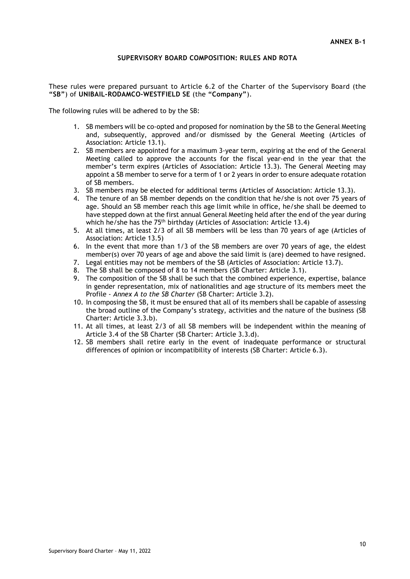## **SUPERVISORY BOARD COMPOSITION: RULES AND ROTA**

These rules were prepared pursuant to Article 6.2 of the Charter of the Supervisory Board (the **"SB"**) of **UNIBAIL-RODAMCO-WESTFIELD SE** (the **"Company"**).

The following rules will be adhered to by the SB:

- 1. SB members will be co-opted and proposed for nomination by the SB to the General Meeting and, subsequently, approved and/or dismissed by the General Meeting (Articles of Association: Article 13.1).
- 2. SB members are appointed for a maximum 3-year term, expiring at the end of the General Meeting called to approve the accounts for the fiscal year-end in the year that the member's term expires (Articles of Association: Article 13.3). The General Meeting may appoint a SB member to serve for a term of 1 or 2 years in order to ensure adequate rotation of SB members.
- 3. SB members may be elected for additional terms (Articles of Association: Article 13.3).
- 4. The tenure of an SB member depends on the condition that he/she is not over 75 years of age. Should an SB member reach this age limit while in office, he/she shall be deemed to have stepped down at the first annual General Meeting held after the end of the year during which he/she has the 75<sup>th</sup> birthday (Articles of Association: Article 13.4)
- 5. At all times, at least 2/3 of all SB members will be less than 70 years of age (Articles of Association: Article 13.5)
- 6. In the event that more than 1/3 of the SB members are over 70 years of age, the eldest member(s) over 70 years of age and above the said limit is (are) deemed to have resigned.
- 7. Legal entities may not be members of the SB (Articles of Association: Article 13.7).
- 8. The SB shall be composed of 8 to 14 members (SB Charter: Article 3.1).
- 9. The composition of the SB shall be such that the combined experience, expertise, balance in gender representation, mix of nationalities and age structure of its members meet the Profile - *Annex A to the SB Charter* (SB Charter: Article 3.2).
- 10. In composing the SB, it must be ensured that all of its members shall be capable of assessing the broad outline of the Company's strategy, activities and the nature of the business (SB Charter: Article 3.3.b).
- 11. At all times, at least 2/3 of all SB members will be independent within the meaning of Article 3.4 of the SB Charter (SB Charter: Article 3.3.d).
- 12. SB members shall retire early in the event of inadequate performance or structural differences of opinion or incompatibility of interests (SB Charter: Article 6.3).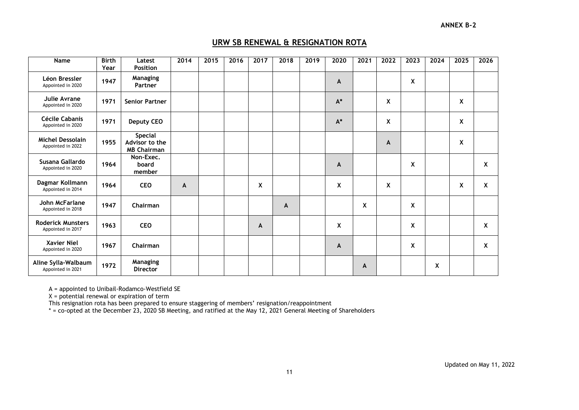# **URW SB RENEWAL & RESIGNATION ROTA**

| Name                                          | <b>Birth</b><br>Year | Latest<br><b>Position</b>                              | 2014 | 2015 | 2016 | 2017 | 2018 | 2019 | 2020  | 2021 | 2022 | 2023 | 2024 | 2025 | 2026 |
|-----------------------------------------------|----------------------|--------------------------------------------------------|------|------|------|------|------|------|-------|------|------|------|------|------|------|
| Léon Bressler<br>Appointed in 2020            | 1947                 | <b>Managing</b><br>Partner                             |      |      |      |      |      |      | A     |      |      | χ    |      |      |      |
| Julie Avrane<br>Appointed in 2020             | 1971                 | <b>Senior Partner</b>                                  |      |      |      |      |      |      | $A^*$ |      | X    |      |      | X    |      |
| Cécile Cabanis<br>Appointed in 2020           | 1971                 | <b>Deputy CEO</b>                                      |      |      |      |      |      |      | $A^*$ |      | X    |      |      | X    |      |
| <b>Michel Dessolain</b><br>Appointed in 2022  | 1955                 | <b>Special</b><br>Advisor to the<br><b>MB Chairman</b> |      |      |      |      |      |      |       |      | A    |      |      | X    |      |
| Susana Gallardo<br>Appointed in 2020          | 1964                 | Non-Exec.<br>board<br>member                           |      |      |      |      |      |      | A     |      |      | X    |      |      | X    |
| Dagmar Kollmann<br>Appointed in 2014          | 1964                 | <b>CEO</b>                                             | A    |      |      | X    |      |      | X     |      | X    |      |      | X    | X    |
| John McFarlane<br>Appointed in 2018           | 1947                 | Chairman                                               |      |      |      |      | A    |      |       | X    |      | X    |      |      |      |
| <b>Roderick Munsters</b><br>Appointed in 2017 | 1963                 | <b>CEO</b>                                             |      |      |      | A    |      |      | X     |      |      | X    |      |      | X    |
| <b>Xavier Niel</b><br>Appointed in 2020       | 1967                 | Chairman                                               |      |      |      |      |      |      | A     |      |      | X    |      |      | X    |
| Aline Sylla-Walbaum<br>Appointed in 2021      | 1972                 | Managing<br><b>Director</b>                            |      |      |      |      |      |      |       | A    |      |      | χ    |      |      |

A = appointed to Unibail-Rodamco-Westfield SE

 $X =$  potential renewal or expiration of term

This resignation rota has been prepared to ensure staggering of members' resignation/reappointment

\* = co-opted at the December 23, 2020 SB Meeting, and ratified at the May 12, 2021 General Meeting of Shareholders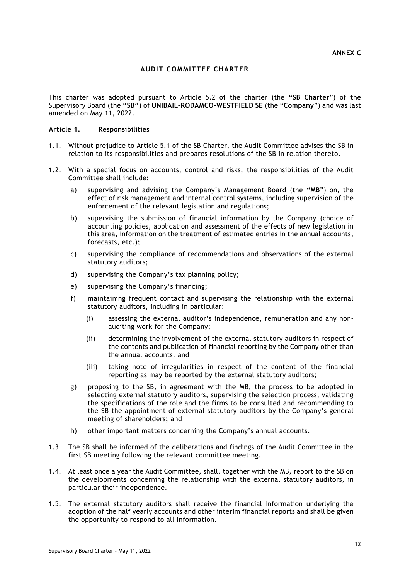# **AUDIT COMMITTEE CHARTER**

This charter was adopted pursuant to Article 5.2 of the charter (the **"SB Charter**") of the Supervisory Board (the **"SB")** of **UNIBAIL-RODAMCO-WESTFIELD SE** (the "**Company**") and was last amended on May 11, 2022.

#### **Article 1. Responsibilities**

- 1.1. Without prejudice to Article 5.1 of the SB Charter, the Audit Committee advises the SB in relation to its responsibilities and prepares resolutions of the SB in relation thereto.
- 1.2. With a special focus on accounts, control and risks, the responsibilities of the Audit Committee shall include:
	- a) supervising and advising the Company's Management Board (the **"MB**") on, the effect of risk management and internal control systems, including supervision of the enforcement of the relevant legislation and regulations;
	- b) supervising the submission of financial information by the Company (choice of accounting policies, application and assessment of the effects of new legislation in this area, information on the treatment of estimated entries in the annual accounts, forecasts, etc.);
	- c) supervising the compliance of recommendations and observations of the external statutory auditors;
	- d) supervising the Company's tax planning policy;
	- e) supervising the Company's financing;
	- f) maintaining frequent contact and supervising the relationship with the external statutory auditors, including in particular:
		- (i) assessing the external auditor's independence, remuneration and any nonauditing work for the Company;
		- (ii) determining the involvement of the external statutory auditors in respect of the contents and publication of financial reporting by the Company other than the annual accounts, and
		- (iii) taking note of irregularities in respect of the content of the financial reporting as may be reported by the external statutory auditors;
	- g) proposing to the SB, in agreement with the MB, the process to be adopted in selecting external statutory auditors, supervising the selection process, validating the specifications of the role and the firms to be consulted and recommending to the SB the appointment of external statutory auditors by the Company's general meeting of shareholders**;** and
	- h) other important matters concerning the Company's annual accounts.
- 1.3. The SB shall be informed of the deliberations and findings of the Audit Committee in the first SB meeting following the relevant committee meeting.
- 1.4. At least once a year the Audit Committee, shall, together with the MB, report to the SB on the developments concerning the relationship with the external statutory auditors, in particular their independence.
- 1.5. The external statutory auditors shall receive the financial information underlying the adoption of the half yearly accounts and other interim financial reports and shall be given the opportunity to respond to all information.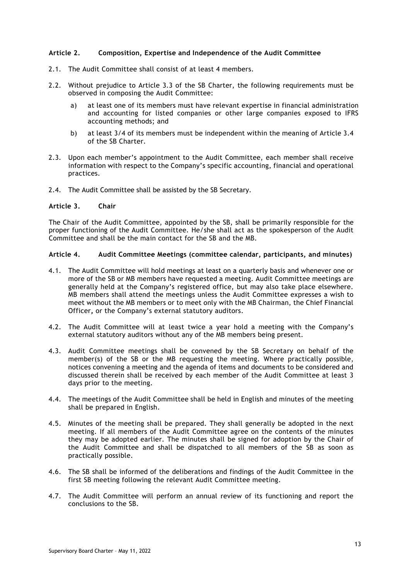## **Article 2. Composition, Expertise and Independence of the Audit Committee**

- 2.1. The Audit Committee shall consist of at least 4 members.
- 2.2. Without prejudice to Article 3.3 of the SB Charter, the following requirements must be observed in composing the Audit Committee:
	- a) at least one of its members must have relevant expertise in financial administration and accounting for listed companies or other large companies exposed to IFRS accounting methods; and
	- b) at least 3/4 of its members must be independent within the meaning of Article 3.4 of the SB Charter.
- 2.3. Upon each member's appointment to the Audit Committee, each member shall receive information with respect to the Company's specific accounting, financial and operational practices.
- 2.4. The Audit Committee shall be assisted by the SB Secretary.

## **Article 3. Chair**

The Chair of the Audit Committee, appointed by the SB, shall be primarily responsible for the proper functioning of the Audit Committee. He/she shall act as the spokesperson of the Audit Committee and shall be the main contact for the SB and the MB.

# **Article 4. Audit Committee Meetings (committee calendar, participants, and minutes)**

- 4.1. The Audit Committee will hold meetings at least on a quarterly basis and whenever one or more of the SB or MB members have requested a meeting. Audit Committee meetings are generally held at the Company's registered office, but may also take place elsewhere. MB members shall attend the meetings unless the Audit Committee expresses a wish to meet without the MB members or to meet only with the MB Chairman, the Chief Financial Officer**,** or the Company's external statutory auditors.
- 4.2. The Audit Committee will at least twice a year hold a meeting with the Company's external statutory auditors without any of the MB members being present.
- 4.3. Audit Committee meetings shall be convened by the SB Secretary on behalf of the member(s) of the SB or the MB requesting the meeting. Where practically possible, notices convening a meeting and the agenda of items and documents to be considered and discussed therein shall be received by each member of the Audit Committee at least 3 days prior to the meeting.
- 4.4. The meetings of the Audit Committee shall be held in English and minutes of the meeting shall be prepared in English.
- 4.5. Minutes of the meeting shall be prepared. They shall generally be adopted in the next meeting. If all members of the Audit Committee agree on the contents of the minutes they may be adopted earlier. The minutes shall be signed for adoption by the Chair of the Audit Committee and shall be dispatched to all members of the SB as soon as practically possible.
- 4.6. The SB shall be informed of the deliberations and findings of the Audit Committee in the first SB meeting following the relevant Audit Committee meeting.
- 4.7. The Audit Committee will perform an annual review of its functioning and report the conclusions to the SB.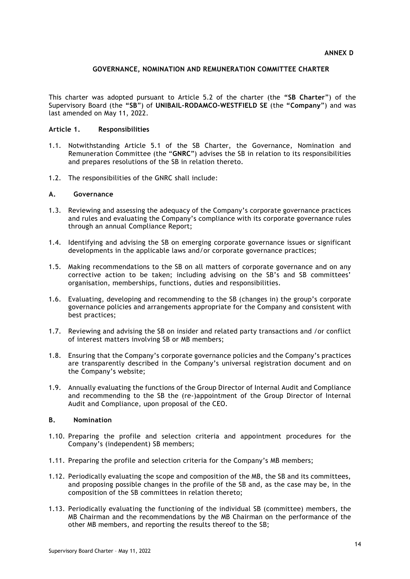## **GOVERNANCE, NOMINATION AND REMUNERATION COMMITTEE CHARTER**

This charter was adopted pursuant to Article 5.2 of the charter (the **"SB Charter**") of the Supervisory Board (the **"SB**") of **UNIBAIL-RODAMCO-WESTFIELD SE** (the **"Company**") and was last amended on May 11, 2022.

#### **Article 1. Responsibilities**

- 1.1. Notwithstanding Article 5.1 of the SB Charter, the Governance, Nomination and Remuneration Committee (the "**GNRC**") advises the SB in relation to its responsibilities and prepares resolutions of the SB in relation thereto.
- 1.2. The responsibilities of the GNRC shall include:

## **A. Governance**

- 1.3. Reviewing and assessing the adequacy of the Company's corporate governance practices and rules and evaluating the Company's compliance with its corporate governance rules through an annual Compliance Report;
- 1.4. Identifying and advising the SB on emerging corporate governance issues or significant developments in the applicable laws and/or corporate governance practices;
- 1.5. Making recommendations to the SB on all matters of corporate governance and on any corrective action to be taken; including advising on the SB's and SB committees' organisation, memberships, functions, duties and responsibilities.
- 1.6. Evaluating, developing and recommending to the SB (changes in) the group's corporate governance policies and arrangements appropriate for the Company and consistent with best practices;
- 1.7. Reviewing and advising the SB on insider and related party transactions and /or conflict of interest matters involving SB or MB members;
- 1.8. Ensuring that the Company's corporate governance policies and the Company's practices are transparently described in the Company's universal registration document and on the Company's website;
- 1.9. Annually evaluating the functions of the Group Director of Internal Audit and Compliance and recommending to the SB the (re-)appointment of the Group Director of Internal Audit and Compliance, upon proposal of the CEO.

#### **B. Nomination**

- 1.10. Preparing the profile and selection criteria and appointment procedures for the Company's (independent) SB members;
- 1.11. Preparing the profile and selection criteria for the Company's MB members;
- 1.12. Periodically evaluating the scope and composition of the MB, the SB and its committees, and proposing possible changes in the profile of the SB and, as the case may be, in the composition of the SB committees in relation thereto;
- 1.13. Periodically evaluating the functioning of the individual SB (committee) members, the MB Chairman and the recommendations by the MB Chairman on the performance of the other MB members, and reporting the results thereof to the SB;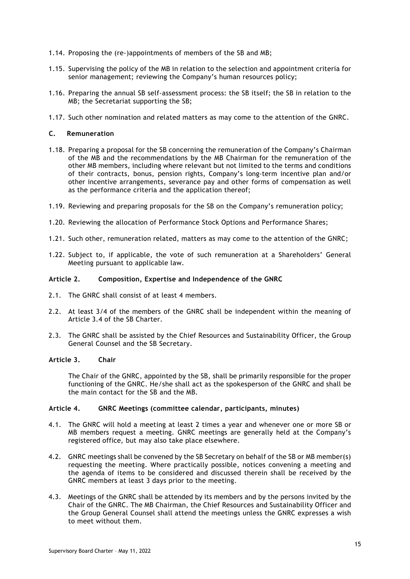- 1.14. Proposing the (re-)appointments of members of the SB and MB;
- 1.15. Supervising the policy of the MB in relation to the selection and appointment criteria for senior management; reviewing the Company's human resources policy;
- 1.16. Preparing the annual SB self-assessment process: the SB itself; the SB in relation to the MB; the Secretariat supporting the SB;
- 1.17. Such other nomination and related matters as may come to the attention of the GNRC.

## **C. Remuneration**

- 1.18. Preparing a proposal for the SB concerning the remuneration of the Company's Chairman of the MB and the recommendations by the MB Chairman for the remuneration of the other MB members, including where relevant but not limited to the terms and conditions of their contracts, bonus, pension rights, Company's long-term incentive plan and/or other incentive arrangements, severance pay and other forms of compensation as well as the performance criteria and the application thereof;
- 1.19. Reviewing and preparing proposals for the SB on the Company's remuneration policy;
- 1.20. Reviewing the allocation of Performance Stock Options and Performance Shares;
- 1.21. Such other, remuneration related, matters as may come to the attention of the GNRC;
- 1.22. Subject to, if applicable, the vote of such remuneration at a Shareholders' General Meeting pursuant to applicable law.

## **Article 2. Composition, Expertise and Independence of the GNRC**

- 2.1. The GNRC shall consist of at least 4 members.
- 2.2. At least 3/4 of the members of the GNRC shall be independent within the meaning of Article 3.4 of the SB Charter.
- 2.3. The GNRC shall be assisted by the Chief Resources and Sustainability Officer, the Group General Counsel and the SB Secretary.

#### **Article 3. Chair**

The Chair of the GNRC, appointed by the SB, shall be primarily responsible for the proper functioning of the GNRC. He/she shall act as the spokesperson of the GNRC and shall be the main contact for the SB and the MB.

#### **Article 4. GNRC Meetings (committee calendar, participants, minutes)**

- 4.1. The GNRC will hold a meeting at least 2 times a year and whenever one or more SB or MB members request a meeting. GNRC meetings are generally held at the Company's registered office, but may also take place elsewhere.
- 4.2. GNRC meetings shall be convened by the SB Secretary on behalf of the SB or MB member(s) requesting the meeting. Where practically possible, notices convening a meeting and the agenda of items to be considered and discussed therein shall be received by the GNRC members at least 3 days prior to the meeting.
- 4.3. Meetings of the GNRC shall be attended by its members and by the persons invited by the Chair of the GNRC. The MB Chairman, the Chief Resources and Sustainability Officer and the Group General Counsel shall attend the meetings unless the GNRC expresses a wish to meet without them.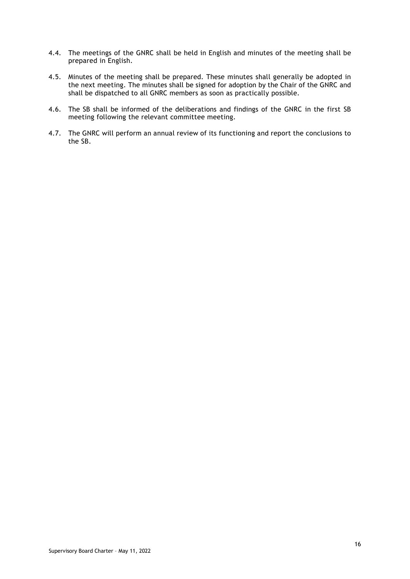- 4.4. The meetings of the GNRC shall be held in English and minutes of the meeting shall be prepared in English.
- 4.5. Minutes of the meeting shall be prepared. These minutes shall generally be adopted in the next meeting. The minutes shall be signed for adoption by the Chair of the GNRC and shall be dispatched to all GNRC members as soon as practically possible.
- 4.6. The SB shall be informed of the deliberations and findings of the GNRC in the first SB meeting following the relevant committee meeting.
- 4.7. The GNRC will perform an annual review of its functioning and report the conclusions to the SB.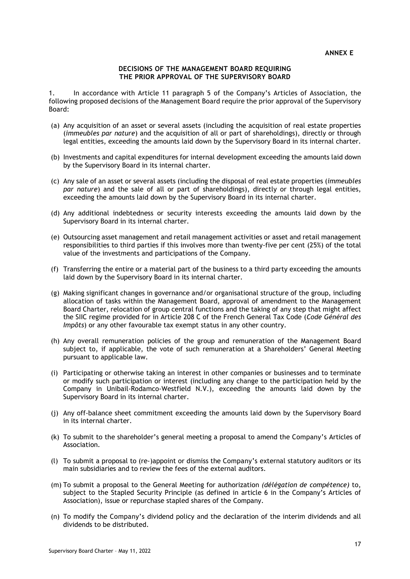#### **DECISIONS OF THE MANAGEMENT BOARD REQUIRING THE PRIOR APPROVAL OF THE SUPERVISORY BOARD**

1. In accordance with Article 11 paragraph 5 of the Company's Articles of Association, the following proposed decisions of the Management Board require the prior approval of the Supervisory Board:

- (a) Any acquisition of an asset or several assets (including the acquisition of real estate properties (*immeubles par nature*) and the acquisition of all or part of shareholdings), directly or through legal entities, exceeding the amounts laid down by the Supervisory Board in its internal charter.
- (b) Investments and capital expenditures for internal development exceeding the amounts laid down by the Supervisory Board in its internal charter.
- (c) Any sale of an asset or several assets (including the disposal of real estate properties (*immeubles par nature*) and the sale of all or part of shareholdings), directly or through legal entities, exceeding the amounts laid down by the Supervisory Board in its internal charter.
- (d) Any additional indebtedness or security interests exceeding the amounts laid down by the Supervisory Board in its internal charter.
- (e) Outsourcing asset management and retail management activities or asset and retail management responsibilities to third parties if this involves more than twenty-five per cent (25%) of the total value of the investments and participations of the Company.
- (f) Transferring the entire or a material part of the business to a third party exceeding the amounts laid down by the Supervisory Board in its internal charter.
- (g) Making significant changes in governance and/or organisational structure of the group, including allocation of tasks within the Management Board, approval of amendment to the Management Board Charter, relocation of group central functions and the taking of any step that might affect the SIIC regime provided for in Article 208 C of the French General Tax Code (*Code Général des Impôts*) or any other favourable tax exempt status in any other country.
- (h) Any overall remuneration policies of the group and remuneration of the Management Board subject to, if applicable, the vote of such remuneration at a Shareholders' General Meeting pursuant to applicable law.
- (i) Participating or otherwise taking an interest in other companies or businesses and to terminate or modify such participation or interest (including any change to the participation held by the Company in Unibail-Rodamco-Westfield N.V.), exceeding the amounts laid down by the Supervisory Board in its internal charter.
- (j) Any off-balance sheet commitment exceeding the amounts laid down by the Supervisory Board in its internal charter.
- (k) To submit to the shareholder's general meeting a proposal to amend the Company's Articles of Association.
- (l) To submit a proposal to (re-)appoint or dismiss the Company's external statutory auditors or its main subsidiaries and to review the fees of the external auditors.
- (m) To submit a proposal to the General Meeting for authorization *(délégation de compétence)* to, subject to the Stapled Security Principle (as defined in article 6 in the Company's Articles of Association), issue or repurchase stapled shares of the Company.
- (n) To modify the Company's dividend policy and the declaration of the interim dividends and all dividends to be distributed.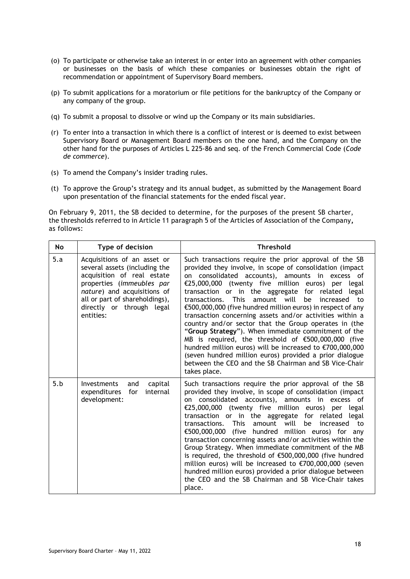- (o) To participate or otherwise take an interest in or enter into an agreement with other companies or businesses on the basis of which these companies or businesses obtain the right of recommendation or appointment of Supervisory Board members.
- (p) To submit applications for a moratorium or file petitions for the bankruptcy of the Company or any company of the group.
- (q) To submit a proposal to dissolve or wind up the Company or its main subsidiaries.
- (r) To enter into a transaction in which there is a conflict of interest or is deemed to exist between Supervisory Board or Management Board members on the one hand, and the Company on the other hand for the purposes of Articles L 225-86 and seq. of the French Commercial Code (*Code de commerce*).
- (s) To amend the Company's insider trading rules.
- (t) To approve the Group's strategy and its annual budget, as submitted by the Management Board upon presentation of the financial statements for the ended fiscal year.

On February 9, 2011, the SB decided to determine, for the purposes of the present SB charter, the thresholds referred to in Article 11 paragraph 5 of the Articles of Association of the Company**,** as follows:

| No  | Type of decision                                                                                                                                                                                                                   | <b>Threshold</b>                                                                                                                                                                                                                                                                                                                                                                                                                                                                                                                                                                                                                                                                                                                                                                                                                                               |  |  |  |  |
|-----|------------------------------------------------------------------------------------------------------------------------------------------------------------------------------------------------------------------------------------|----------------------------------------------------------------------------------------------------------------------------------------------------------------------------------------------------------------------------------------------------------------------------------------------------------------------------------------------------------------------------------------------------------------------------------------------------------------------------------------------------------------------------------------------------------------------------------------------------------------------------------------------------------------------------------------------------------------------------------------------------------------------------------------------------------------------------------------------------------------|--|--|--|--|
| 5.a | Acquisitions of an asset or<br>several assets (including the<br>acquisition of real estate<br>properties (immeubles par<br>nature) and acquisitions of<br>all or part of shareholdings),<br>directly or through legal<br>entities: | Such transactions require the prior approval of the SB<br>provided they involve, in scope of consolidation (impact<br>consolidated accounts), amounts in excess of<br>on<br>$£25,000,000$ (twenty five million euros) per legal<br>transaction or in the aggregate for related legal<br>amount will<br>transactions.<br><b>This</b><br>be<br>increased<br>to<br>€500,000,000 (five hundred million euros) in respect of any<br>transaction concerning assets and/or activities within a<br>country and/or sector that the Group operates in (the<br>"Group Strategy"). When immediate commitment of the<br>MB is required, the threshold of €500,000,000 (five<br>hundred million euros) will be increased to €700,000,000<br>(seven hundred million euros) provided a prior dialogue<br>between the CEO and the SB Chairman and SB Vice-Chair<br>takes place. |  |  |  |  |
| 5.b | <b>Investments</b><br>and<br>capital<br>expenditures<br>for<br>internal<br>development:                                                                                                                                            | Such transactions require the prior approval of the SB<br>provided they involve, in scope of consolidation (impact<br>on consolidated accounts), amounts in excess of<br>$£25,000,000$ (twenty five million euros) per legal<br>transaction or in the aggregate for related legal<br><b>This</b><br>will<br>transactions.<br>amount<br>be<br>increased<br>to<br>€500,000,000<br>(five hundred million euros) for<br>any<br>transaction concerning assets and/or activities within the<br>Group Strategy. When immediate commitment of the MB<br>is required, the threshold of €500,000,000 (five hundred<br>million euros) will be increased to €700,000,000 (seven<br>hundred million euros) provided a prior dialogue between<br>the CEO and the SB Chairman and SB Vice-Chair takes<br>place.                                                               |  |  |  |  |